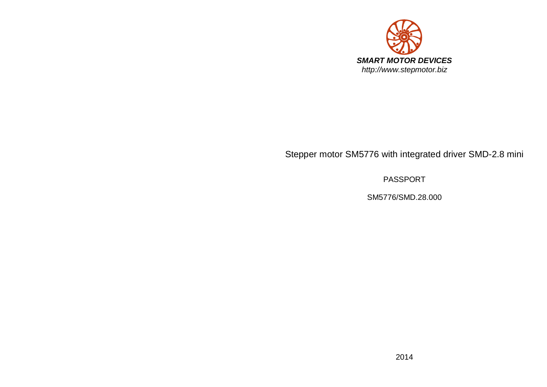

# Stepper motor SM5776 with integrated driver SMD-2.8 mini

PASSPORT

SM5776/SMD.28.000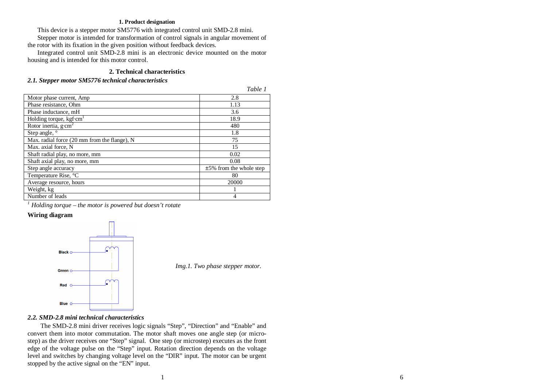#### **1. Product designation**

This device is a stepper motor SM5776 with integrated control unit SMD-2.8 mini.

Stepper motor is intended for transformation of control signals in angular movement of the rotor with its fixation in the given position without feedback devices.

Integrated control unit SMD-2.8 mini is an electronic device mounted on the motor housing and is intended for this motor control.

## **2. Technical characteristics**

## *2.1. Stepper motor SM5776 technical characteristics*

|                                                    | Table 1                    |
|----------------------------------------------------|----------------------------|
| Motor phase current, Amp                           | 2.8                        |
| Phase resistance, Ohm                              | 1.13                       |
| Phase inductance, mH                               | 3.6                        |
| Holding torque, $kgf$ <sup>c</sup> cm <sup>1</sup> | 18.9                       |
| Rotor inertia, $g \cdot cm^2$                      | 480                        |
| Step angle, °                                      | 1.8                        |
| Max. radial force (20 mm from the flange), N       | 75                         |
| Max. axial force, N                                | 15                         |
| Shaft radial play, no more, mm                     | 0.02                       |
| Shaft axial play, no more, mm                      | 0.08                       |
| Step angle accuracy                                | $±5\%$ from the whole step |
| Temperature Rise, °C                               | 80                         |
| Average resource, hours                            | 20000                      |
| Weight, kg                                         |                            |
| Number of leads                                    | 4                          |
|                                                    |                            |

*1 Holding torque – the motor is powered but doesn't rotate* 

## **Wiring diagram**



*Img.1. Two phase stepper motor.*

*Table 1* 

## *2.2. SMD-2.8 mini technical characteristics*

The SMD-2.8 mini driver receives logic signals "Step", "Direction" and "Enable" and convert them into motor commutation. The motor shaft moves one angle step (or microstep) as the driver receives one "Step" signal. One step (or microstep) executes as the front edge of the voltage pulse on the "Step" input. Rotation direction depends on the voltage level and switches by changing voltage level on the "DIR" input. The motor can be urgent stopped by the active signal on the "EN" input.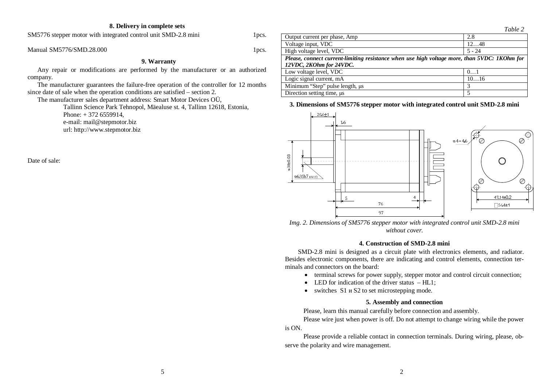#### **8. Delivery in complete sets**

SM5776 stepper motor with integrated control unit SMD-2.8 mini 1pcs.

Manual SM5776/SMD.28.000  $1$ pcs.

### **9. Warranty**

Any repair or modifications are performed by the manufacturer or an authorized company.

The manufacturer guarantees the failure-free operation of the controller for 12 months since date of sale when the operation conditions are satisfied – section 2.

The manufacturer sales department address: Smart Motor Devices OÜ,

Tallinn Science Park Tehnopol, Mäealuse st. 4, Tallinn 12618, Estonia, Phone: + 372 6559914, e-mail: mail@stepmotor.biz url: http://www.stepmotor.biz

Date of sale:



## **3. Dimensions of SM5776 stepper motor with integrated control unit SMD-2.8 mini**



*Img. 2. Dimensions of SM5776 stepper motor with integrated control unit SMD-2.8 mini without cover.* 

#### **4. Construction of SMD-2.8 mini**

SMD-2.8 mini is designed as a circuit plate with electronics elements, and radiator. Besides electronic components, there are indicating and control elements, connection terminals and connectors on the board:

- terminal screws for power supply, stepper motor and control circuit connection;
- LED for indication of the driver status  $-HL1$ ;
- $\bullet$  switches S1  $\mu$  S2 to set microstepping mode.

#### **5. Assembly and connection**

Please, learn this manual carefully before connection and assembly.

Please wire just when power is off. Do not attempt to change wiring while the power is ON.

Please provide a reliable contact in connection terminals. During wiring, please, observe the polarity and wire management.

*Table 2*